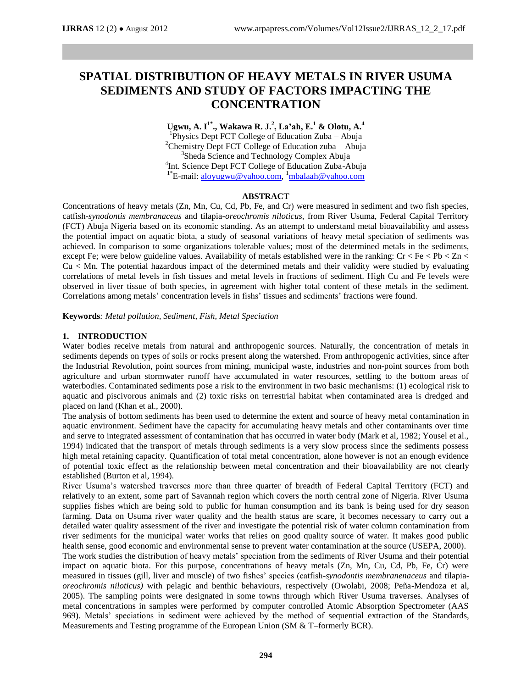# **SPATIAL DISTRIBUTION OF HEAVY METALS IN RIVER USUMA SEDIMENTS AND STUDY OF FACTORS IMPACTING THE CONCENTRATION**

**Ugwu, A. I1\* ., Wakawa R. J.<sup>2</sup> , La'ah, E.<sup>1</sup> & Olotu, A.<sup>4</sup>** <sup>1</sup>Physics Dept FCT College of Education Zuba - Abuja <sup>2</sup>Chemistry Dept FCT College of Education zuba – Abuja <sup>3</sup>Sheda Science and Technology Complex Abuja 4 Int. Science Dept FCT College of Education Zuba-Abuja <sup>1\*</sup>E-mail: [aloyugwu@yahoo.com,](mailto:aloyugwu@yahoo.com) <sup>1</sup>[mbalaah@yahoo.com](mailto:mbalaah@yahoo.com)

## **ABSTRACT**

Concentrations of heavy metals (Zn, Mn, Cu, Cd, Pb, Fe, and Cr) were measured in sediment and two fish species, catfish-*synodontis membranaceus* and tilapia*-oreochromis niloticus*, from River Usuma, Federal Capital Territory (FCT) Abuja Nigeria based on its economic standing. As an attempt to understand metal bioavailability and assess the potential impact on aquatic biota, a study of seasonal variations of heavy metal speciation of sediments was achieved. In comparison to some organizations tolerable values; most of the determined metals in the sediments, except Fe; were below guideline values. Availability of metals established were in the ranking:  $Cr < Fe < Pb < Zn <$ Cu < Mn. The potential hazardous impact of the determined metals and their validity were studied by evaluating correlations of metal levels in fish tissues and metal levels in fractions of sediment. High Cu and Fe levels were observed in liver tissue of both species, in agreement with higher total content of these metals in the sediment. Correlations among metals' concentration levels in fishs' tissues and sediments' fractions were found.

**Keywords***: Metal pollution, Sediment, Fish, Metal Speciation*

## **1. INTRODUCTION**

Water bodies receive metals from natural and anthropogenic sources. Naturally, the concentration of metals in sediments depends on types of soils or rocks present along the watershed. From anthropogenic activities, since after the Industrial Revolution, point sources from mining, municipal waste, industries and non-point sources from both agriculture and urban stormwater runoff have accumulated in water resources, settling to the bottom areas of waterbodies. Contaminated sediments pose a risk to the environment in two basic mechanisms: (1) ecological risk to aquatic and piscivorous animals and (2) toxic risks on terrestrial habitat when contaminated area is dredged and placed on land (Khan et al., 2000).

The analysis of bottom sediments has been used to determine the extent and source of heavy metal contamination in aquatic environment. Sediment have the capacity for accumulating heavy metals and other contaminants over time and serve to integrated assessment of contamination that has occurred in water body (Mark et al, 1982; Yousel et al., 1994) indicated that the transport of metals through sediments is a very slow process since the sediments possess high metal retaining capacity. Quantification of total metal concentration, alone however is not an enough evidence of potential toxic effect as the relationship between metal concentration and their bioavailability are not clearly established (Burton et al, 1994).

River Usuma's watershed traverses more than three quarter of breadth of Federal Capital Territory (FCT) and relatively to an extent, some part of Savannah region which covers the north central zone of Nigeria. River Usuma supplies fishes which are being sold to public for human consumption and its bank is being used for dry season farming. Data on Usuma river water quality and the health status are scare, it becomes necessary to carry out a detailed water quality assessment of the river and investigate the potential risk of water column contamination from river sediments for the municipal water works that relies on good quality source of water. It makes good public health sense, good economic and environmental sense to prevent water contamination at the source (USEPA, 2000).

The work studies the distribution of heavy metals' speciation from the sediments of River Usuma and their potential impact on aquatic biota. For this purpose, concentrations of heavy metals (Zn, Mn, Cu, Cd, Pb, Fe, Cr) were measured in tissues (gill, liver and muscle) of two fishes' species (catfish-*synodontis membranenaceus* and tilapia*oreochromis niloticus)* with pelagic and benthic behaviours, respectively (Owolabi, 2008; Peña-Mendoza et al, 2005). The sampling points were designated in some towns through which River Usuma traverses. Analyses of metal concentrations in samples were performed by computer controlled Atomic Absorption Spectrometer (AAS 969). Metals' speciations in sediment were achieved by the method of sequential extraction of the Standards, Measurements and Testing programme of the European Union (SM & T–formerly BCR).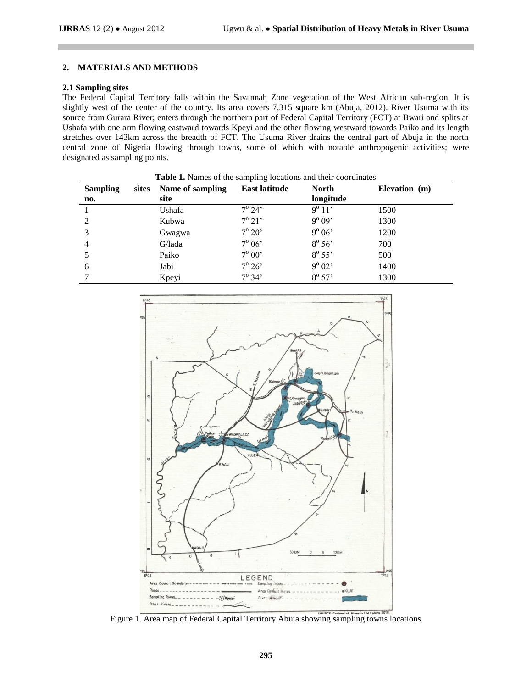## **2. MATERIALS AND METHODS**

## **2.1 Sampling sites**

The Federal Capital Territory falls within the Savannah Zone vegetation of the West African sub-region. It is slightly west of the center of the country. Its area covers 7,315 square km (Abuja, 2012). River Usuma with its source from Gurara River; enters through the northern part of Federal Capital Territory (FCT) at Bwari and splits at Ushafa with one arm flowing eastward towards Kpeyi and the other flowing westward towards Paiko and its length stretches over 143km across the breadth of FCT. The Usuma River drains the central part of Abuja in the north central zone of Nigeria flowing through towns, some of which with notable anthropogenic activities; were designated as sampling points.

| <b>Sampling</b> | sites | Name of sampling | <b>East latitude</b> | <b>North</b>    | Elevation (m) |
|-----------------|-------|------------------|----------------------|-----------------|---------------|
| $\mathbf{n}$ o. |       | site             |                      | longitude       |               |
|                 |       | Ushafa           | $7^{\circ} 24'$      | $9^{\circ} 11'$ | 1500          |
| $\mathcal{D}$   |       | Kubwa            | $7^{\circ} 21'$      | $9^{\circ}09'$  | 1300          |
|                 |       | Gwagwa           | $7^{\circ} 20'$      | $9^{\circ} 06'$ | 1200          |
| 4               |       | G/lada           | $7^\circ 06'$        | $8^\circ 56'$   | 700           |
|                 |       | Paiko            | $7^\circ 00'$        | $8^{\circ} 55'$ | 500           |
| 6               |       | Jabi             | $7^\circ 26'$        | $9^{\circ}02'$  | 1400          |
|                 |       | Kpeyi            | $7^{\circ} 34'$      | $8^{\circ} 57'$ | 1300          |



Figure 1. Area map of Federal Capital Territory Abuja showing sampling towns locations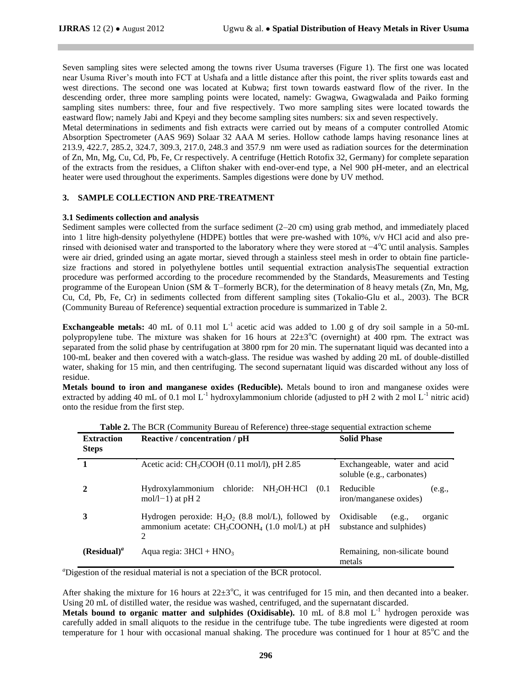Seven sampling sites were selected among the towns river Usuma traverses (Figure 1). The first one was located near Usuma River's mouth into FCT at Ushafa and a little distance after this point, the river splits towards east and west directions. The second one was located at Kubwa; first town towards eastward flow of the river. In the descending order, three more sampling points were located, namely: Gwagwa, Gwagwalada and Paiko forming sampling sites numbers: three, four and five respectively. Two more sampling sites were located towards the eastward flow; namely Jabi and Kpeyi and they become sampling sites numbers: six and seven respectively.

Metal determinations in sediments and fish extracts were carried out by means of a computer controlled Atomic Absorption Spectrometer (AAS 969) Solaar 32 AAA M series. Hollow cathode lamps having resonance lines at 213.9, 422.7, 285.2, 324.7, 309.3, 217.0, 248.3 and 357.9 nm were used as radiation sources for the determination of Zn, Mn, Mg, Cu, Cd, Pb, Fe, Cr respectively. A centrifuge (Hettich Rotofix 32, Germany) for complete separation of the extracts from the residues, a Clifton shaker with end-over-end type, a Nel 900 pH-meter, and an electrical heater were used throughout the experiments. Samples digestions were done by UV method.

## **3. SAMPLE COLLECTION AND PRE-TREATMENT**

#### **3.1 Sediments collection and analysis**

Sediment samples were collected from the surface sediment (2–20 cm) using grab method, and immediately placed into 1 litre high-density polyethylene (HDPE) bottles that were pre-washed with 10%, v/v HCl acid and also prerinsed with deionised water and transported to the laboratory where they were stored at −4<sup>o</sup>C until analysis. Samples were air dried, grinded using an agate mortar, sieved through a stainless steel mesh in order to obtain fine particlesize fractions and stored in polyethylene bottles until sequential extraction analysisThe sequential extraction procedure was performed according to the procedure recommended by the Standards, Measurements and Testing programme of the European Union (SM & T–formerly BCR), for the determination of 8 heavy metals (Zn, Mn, Mg, Cu, Cd, Pb, Fe, Cr) in sediments collected from different sampling sites (Tokalio-Glu et al., 2003). The BCR (Community Bureau of Reference) sequential extraction procedure is summarized in Table 2.

**Exchangeable metals:** 40 mL of 0.11 mol  $L^{-1}$  acetic acid was added to 1.00 g of dry soil sample in a 50-mL polypropylene tube. The mixture was shaken for 16 hours at  $22\pm3^{\circ}C$  (overnight) at 400 rpm. The extract was separated from the solid phase by centrifugation at 3800 rpm for 20 min. The supernatant liquid was decanted into a 100-mL beaker and then covered with a watch-glass. The residue was washed by adding 20 mL of double-distilled water, shaking for 15 min, and then centrifuging. The second supernatant liquid was discarded without any loss of residue.

**Metals bound to iron and manganese oxides (Reducible).** Metals bound to iron and manganese oxides were extracted by adding 40 mL of 0.1 mol L<sup>-1</sup> hydroxylammonium chloride (adjusted to pH 2 with 2 mol L<sup>-1</sup> nitric acid) onto the residue from the first step.

| <b>Extraction</b><br><b>Steps</b> | Reactive / concentration / pH                                                                                               | <b>Solid Phase</b>                                          |  |  |
|-----------------------------------|-----------------------------------------------------------------------------------------------------------------------------|-------------------------------------------------------------|--|--|
| 1                                 | Acetic acid: CH <sub>3</sub> COOH (0.11 mol/l), pH 2.85                                                                     | Exchangeable, water and acid<br>soluble (e.g., carbonates)  |  |  |
|                                   | Hydroxylammonium chloride: NH <sub>2</sub> OH-HCl (0.1)<br>mol/l-1) at $pH_2$                                               | Reducible<br>(e.g.,<br>iron/manganese oxides)               |  |  |
|                                   | Hydrogen peroxide: $H_2O_2$ (8.8 mol/L), followed by<br>ammonium acetate: $CH_3COONH_4$ (1.0 mol/L) at pH<br>$\mathfrak{D}$ | Oxidisable<br>organic<br>(e.g.,<br>substance and sulphides) |  |  |
| $(Residual)^a$                    | Aqua regia: $3HC1 + HNO3$                                                                                                   | Remaining, non-silicate bound<br>metals                     |  |  |

**Table 2.** The BCR (Community Bureau of Reference) three-stage sequential extraction scheme

<sup>a</sup>Digestion of the residual material is not a speciation of the BCR protocol.

After shaking the mixture for 16 hours at  $22\pm3^{\circ}$ C, it was centrifuged for 15 min, and then decanted into a beaker. Using 20 mL of distilled water, the residue was washed, centrifuged, and the supernatant discarded.

Metals bound to organic matter and sulphides (Oxidisable). 10 mL of 8.8 mol L<sup>-1</sup> hydrogen peroxide was carefully added in small aliquots to the residue in the centrifuge tube. The tube ingredients were digested at room temperature for 1 hour with occasional manual shaking. The procedure was continued for 1 hour at  $85^{\circ}$ C and the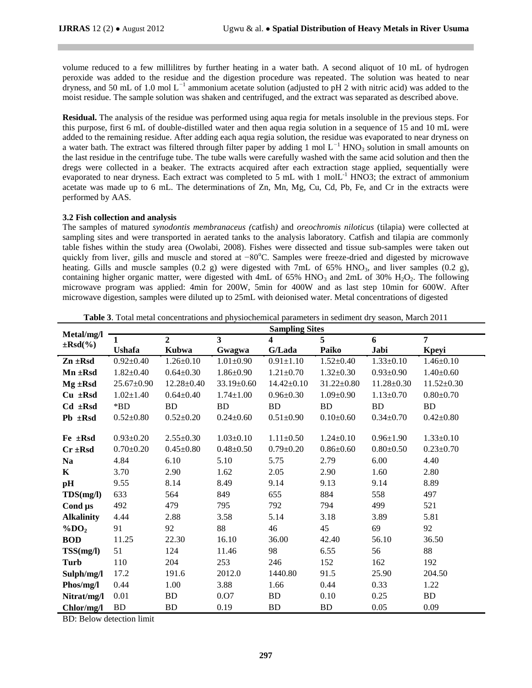volume reduced to a few millilitres by further heating in a water bath. A second aliquot of 10 mL of hydrogen peroxide was added to the residue and the digestion procedure was repeated. The solution was heated to near dryness, and 50 mL of 1.0 mol L*<sup>−</sup>*<sup>1</sup> ammonium acetate solution (adjusted to pH 2 with nitric acid) was added to the moist residue. The sample solution was shaken and centrifuged, and the extract was separated as described above.

**Residual.** The analysis of the residue was performed using aqua regia for metals insoluble in the previous steps. For this purpose, first 6 mL of double-distilled water and then aqua regia solution in a sequence of 15 and 10 mL were added to the remaining residue. After adding each aqua regia solution, the residue was evaporated to near dryness on a water bath. The extract was filtered through filter paper by adding 1 mol L<sup>−1</sup> HNO<sub>3</sub> solution in small amounts on the last residue in the centrifuge tube. The tube walls were carefully washed with the same acid solution and then the dregs were collected in a beaker. The extracts acquired after each extraction stage applied, sequentially were evaporated to near dryness. Each extract was completed to 5 mL with 1 mol $L^{-1}$  HNO3; the extract of ammonium acetate was made up to 6 mL. The determinations of Zn, Mn, Mg, Cu, Cd, Pb, Fe, and Cr in the extracts were performed by AAS.

#### **3.2 Fish collection and analysis**

The samples of matured *synodontis membranaceus (*catfish*)* and *oreochromis niloticus* (tilapia) were collected at sampling sites and were transported in aerated tanks to the analysis laboratory. Catfish and tilapia are commonly table fishes within the study area (Owolabi, 2008). Fishes were dissected and tissue sub-samples were taken out quickly from liver, gills and muscle and stored at −80°C. Samples were freeze-dried and digested by microwave heating. Gills and muscle samples  $(0.2 \text{ g})$  were digested with 7mL of 65% HNO<sub>3</sub>, and liver samples  $(0.2 \text{ g})$ , containing higher organic matter, were digested with 4mL of 65% HNO<sub>3</sub> and 2mL of 30% H<sub>2</sub>O<sub>2</sub>. The following microwave program was applied: 4min for 200W, 5min for 400W and as last step 10min for 600W. After microwave digestion, samples were diluted up to 25mL with deionised water. Metal concentrations of digested

| Metal/mg/l           |                  |                  |                  | <b>Sampling Sites</b> |                  |                  |                  |
|----------------------|------------------|------------------|------------------|-----------------------|------------------|------------------|------------------|
| $\pm$ Rsd $(\%$      | 1                | $\overline{2}$   | 3                | 4                     | 5                | 6                | $\overline{7}$   |
|                      | <b>Ushafa</b>    | <b>Kubwa</b>     | Gwagwa           | G/Lada                | Paiko            | Jabi             | <b>K</b> peyi    |
| $Zn \pm Rsd$         | $0.92 \pm 0.40$  | $1.26 \pm 0.10$  | $1.01 \pm 0.90$  | $0.91 \pm 1.10$       | $1.52 \pm 0.40$  | $1.33 \pm 0.10$  | $1.46 \pm 0.10$  |
| $Mn \pm Rsd$         | $1.82 \pm 0.40$  | $0.64 \pm 0.30$  | $1.86 \pm 0.90$  | $1.21 \pm 0.70$       | $1.32 \pm 0.30$  | $0.93 \pm 0.90$  | $1.40 \pm 0.60$  |
| $Mg \pm Rsd$         | $25.67 \pm 0.90$ | $12.28 \pm 0.40$ | $33.19 \pm 0.60$ | $14.42 \pm 0.10$      | $31.22 \pm 0.80$ | $11.28 \pm 0.30$ | $11.52 \pm 0.30$ |
| $Cu$ $\pm$ Rsd       | $1.02 \pm 1.40$  | $0.64 \pm 0.40$  | $1.74 \pm 1.00$  | $0.96 \pm 0.30$       | $1.09 \pm 0.90$  | $1.13 \pm 0.70$  | $0.80 \pm 0.70$  |
| $Cd$ $\pm$ Rsd       | *BD              | <b>BD</b>        | <b>BD</b>        | <b>BD</b>             | <b>BD</b>        | <b>BD</b>        | BD               |
| $Pb \pm Rsd$         | $0.52 \pm 0.80$  | $0.52 \pm 0.20$  | $0.24 \pm 0.60$  | $0.51 \pm 0.90$       | $0.10 \pm 0.60$  | $0.34 \pm 0.70$  | $0.42 \pm 0.80$  |
|                      |                  |                  |                  |                       |                  |                  |                  |
| $Fe \pm Rsd$         | $0.93 \pm 0.20$  | $2.55 \pm 0.30$  | $1.03 \pm 0.10$  | $1.11 \pm 0.50$       | $1.24 \pm 0.10$  | $0.96 \pm 1.90$  | $1.33 \pm 0.10$  |
| $Cr \pm Rsd$         | $0.70 \pm 0.20$  | $0.45 \pm 0.80$  | $0.48 \pm 0.50$  | $0.79 \pm 0.20$       | $0.86 \pm 0.60$  | $0.80 \pm 0.50$  | $0.23 \pm 0.70$  |
| <b>Na</b>            | 4.84             | 6.10             | 5.10             | 5.75                  | 2.79             | 6.00             | 4.40             |
| K                    | 3.70             | 2.90             | 1.62             | 2.05                  | 2.90             | 1.60             | 2.80             |
| pH                   | 9.55             | 8.14             | 8.49             | 9.14                  | 9.13             | 9.14             | 8.89             |
| TDS(mg/l)            | 633              | 564              | 849              | 655                   | 884              | 558              | 497              |
| Cond $\mu s$         | 492              | 479              | 795              | 792                   | 794              | 499              | 521              |
| <b>Alkalinity</b>    | 4.44             | 2.88             | 3.58             | 5.14                  | 3.18             | 3.89             | 5.81             |
| $\%$ DO <sub>2</sub> | 91               | 92               | 88               | 46                    | 45               | 69               | 92               |
| <b>BOD</b>           | 11.25            | 22.30            | 16.10            | 36.00                 | 42.40            | 56.10            | 36.50            |
| TSS(mg/l)            | 51               | 124              | 11.46            | 98                    | 6.55             | 56               | 88               |
| Turb                 | 110              | 204              | 253              | 246                   | 152              | 162              | 192              |
| Sulph/mg/l           | 17.2             | 191.6            | 2012.0           | 1440.80               | 91.5             | 25.90            | 204.50           |
| Phos/mg/l            | 0.44             | 1.00             | 3.88             | 1.66                  | 0.44             | 0.33             | 1.22             |
| Nitrat/mg/l          | 0.01             | <b>BD</b>        | 0.07             | <b>BD</b>             | 0.10             | 0.25             | <b>BD</b>        |
| Chlor/mg/l           | <b>BD</b>        | <b>BD</b>        | 0.19             | <b>BD</b>             | BD               | 0.05             | 0.09             |

**Table 3**. Total metal concentrations and physiochemical parameters in sediment dry season, March 2011

BD: Below detection limit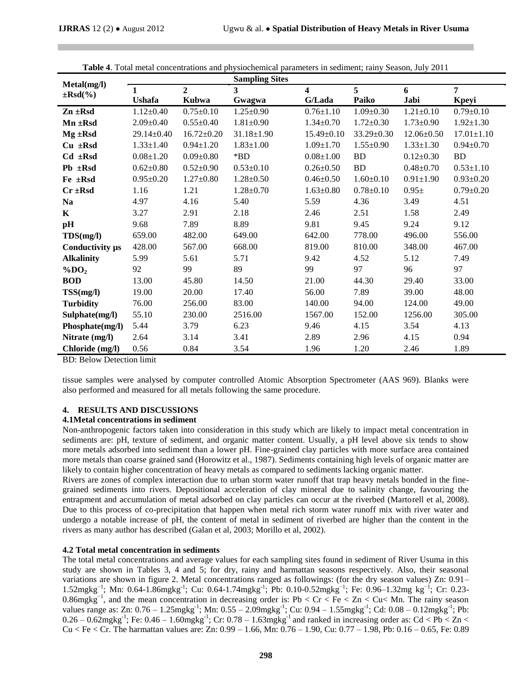|                                |                 |                  | <b>Sampling Sites</b>   |                  |                 |                  |                  |
|--------------------------------|-----------------|------------------|-------------------------|------------------|-----------------|------------------|------------------|
| Metal(mg/l)<br>$\pm$ Rsd $(\%$ | 1               | $\overline{2}$   | $\overline{\mathbf{3}}$ | 4                | 5               | 6                | 7                |
|                                | <b>Ushafa</b>   | Kubwa            | Gwagwa                  | G/Lada           | Paiko           | Jabi             | Kpeyi            |
| $Zn \pm Rsd$                   | $1.12 \pm 0.40$ | $0.75 \pm 0.10$  | $1.25 \pm 0.90$         | $0.76 \pm 1.10$  | $1.09 \pm 0.30$ | $1.21 \pm 0.10$  | $0.79 \pm 0.10$  |
| $Mn \pm Rsd$                   | $2.09 \pm 0.40$ | $0.55 \pm 0.40$  | $1.81 \pm 0.90$         | $1.34 \pm 0.70$  | $1.72 \pm 0.30$ | $1.73 \pm 0.90$  | $1.92 \pm 1.30$  |
| $Mg \pm Rsd$                   | 29.14±0.40      | $16.72 \pm 0.20$ | $31.18 \pm 1.90$        | $15.49 \pm 0.10$ | 33.29±0.30      | $12.06 \pm 0.50$ | $17.01 \pm 1.10$ |
| $Cu$ $\pm$ Rsd                 | $1.33 \pm 1.40$ | $0.94 \pm 1.20$  | $1.83 \pm 1.00$         | $1.09 \pm 1.70$  | $1.55 \pm 0.90$ | $1.33 \pm 1.30$  | $0.94 \pm 0.70$  |
| $Cd$ $\pm$ Rsd                 | $0.08 \pm 1.20$ | $0.09 \pm 0.80$  | $*$ BD                  | $0.08 \pm 1.00$  | BD              | $0.12 \pm 0.30$  | <b>BD</b>        |
| $Pb \pm Rsd$                   | $0.62 \pm 0.80$ | $0.52 \pm 0.90$  | $0.53 \pm 0.10$         | $0.26 \pm 0.50$  | BD              | $0.48 + 0.70$    | $0.53 \pm 1.10$  |
| Fe ±Rsd                        | $0.95 \pm 0.20$ | $1.27 \pm 0.80$  | $1.28 \pm 0.50$         | $0.46 \pm 0.50$  | $1.60 \pm 0.10$ | $0.91 \pm 1.90$  | $0.93 \pm 0.20$  |
| $Cr \pm Rsd$                   | 1.16            | 1.21             | $1.28 \pm 0.70$         | $1.63 \pm 0.80$  | $0.78 \pm 0.10$ | $0.95\pm$        | $0.79 \pm 0.20$  |
| <b>Na</b>                      | 4.97            | 4.16             | 5.40                    | 5.59             | 4.36            | 3.49             | 4.51             |
| K                              | 3.27            | 2.91             | 2.18                    | 2.46             | 2.51            | 1.58             | 2.49             |
| pH                             | 9.68            | 7.89             | 8.89                    | 9.81             | 9.45            | 9.24             | 9.12             |
| TDS(mg/l)                      | 659.00          | 482.00           | 649.00                  | 642.00           | 778.00          | 496.00           | 556.00           |
| Conductivity $\mu s$           | 428.00          | 567.00           | 668.00                  | 819.00           | 810.00          | 348.00           | 467.00           |
| <b>Alkalinity</b>              | 5.99            | 5.61             | 5.71                    | 9.42             | 4.52            | 5.12             | 7.49             |
| $\%$ DO <sub>2</sub>           | 92              | 99               | 89                      | 99               | 97              | 96               | 97               |
| <b>BOD</b>                     | 13.00           | 45.80            | 14.50                   | 21.00            | 44.30           | 29.40            | 33.00            |
| TSS(mg/l)                      | 19.00           | 20.00            | 17.40                   | 56.00            | 7.89            | 39.00            | 48.00            |
| <b>Turbidity</b>               | 76.00           | 256.00           | 83.00                   | 140.00           | 94.00           | 124.00           | 49.00            |
| Sulphate(mg/l)                 | 55.10           | 230.00           | 2516.00                 | 1567.00          | 152.00          | 1256.00          | 305.00           |
| Phosphate(mg/l)                | 5.44            | 3.79             | 6.23                    | 9.46             | 4.15            | 3.54             | 4.13             |
| Nitrate (mg/l)                 | 2.64            | 3.14             | 3.41                    | 2.89             | 2.96            | 4.15             | 0.94             |
| Chloride (mg/l)                | 0.56            | 0.84             | 3.54                    | 1.96             | 1.20            | 2.46             | 1.89             |

**Table 4**. Total metal concentrations and physiochemical parameters in sediment; rainy Season, July 2011

BD: Below Detection limit

tissue samples were analysed by computer controlled Atomic Absorption Spectrometer (AAS 969). Blanks were also performed and measured for all metals following the same procedure.

#### **4. RESULTS AND DISCUSSIONS**

#### **4.1Metal concentrations in sediment**

Non-anthropogenic factors taken into consideration in this study which are likely to impact metal concentration in sediments are: pH, texture of sediment, and organic matter content. Usually, a pH level above six tends to show more metals adsorbed into sediment than a lower pH. Fine-grained clay particles with more surface area contained more metals than coarse grained sand (Horowitz et al., 1987). Sediments containing high levels of organic matter are likely to contain higher concentration of heavy metals as compared to sediments lacking organic matter.

Rivers are zones of complex interaction due to urban storm water runoff that trap heavy metals bonded in the finegrained sediments into rivers. Depositional acceleration of clay mineral due to salinity change, favouring the entrapment and accumulation of metal adsorbed on clay particles can occur at the riverbed (Martorell et al, 2008). Due to this process of co-precipitation that happen when metal rich storm water runoff mix with river water and undergo a notable increase of pH, the content of metal in sediment of riverbed are higher than the content in the rivers as many author has described (Galan et al, 2003; Morillo et al, 2002).

#### **4.2 Total metal concentration in sediments**

The total metal concentrations and average values for each sampling sites found in sediment of River Usuma in this study are shown in Tables 3, 4 and 5; for dry, rainy and harmattan seasons respectively. Also, their seasonal variations are shown in figure 2. Metal concentrations ranged as followings: (for the dry season values) Zn: 0.91– 1.52mgkg<sup>-1</sup>; Mn: 0.64-1.86mgkg<sup>-1</sup>; Cu: 0.64-1.74mgkg<sup>-1</sup>; Pb: 0.10-0.52mgkg<sup>-1</sup>; Fe: 0.96–1.32mg kg<sup>-1</sup>; Cr: 0.23-0.86mgkg−1 , and the mean concentration in decreasing order is: Pb < Cr < Fe < Zn < Cu< Mn. The rainy season values range as: Zn:  $0.76 - 1.25$ mgkg<sup>-1</sup>; Mn:  $0.55 - 2.09$ mgkg<sup>-1</sup>; Cu:  $0.94 - 1.55$ mgkg<sup>-1</sup>; Cd:  $0.08 - 0.12$ mgkg<sup>-1</sup>; Pb:  $0.26 - 0.62$ mgkg<sup>-1</sup>; Fe:  $0.46 - 1.60$ mgkg<sup>-1</sup>; Cr:  $0.78 - 1.63$ mgkg<sup>-1</sup> and ranked in increasing order as: Cd < Pb < Zn < Cu < Fe < Cr. The harmattan values are: Zn: 0.99 – 1.66, Mn: 0.76 – 1.90, Cu: 0.77 – 1.98, Pb: 0.16 – 0.65, Fe: 0.89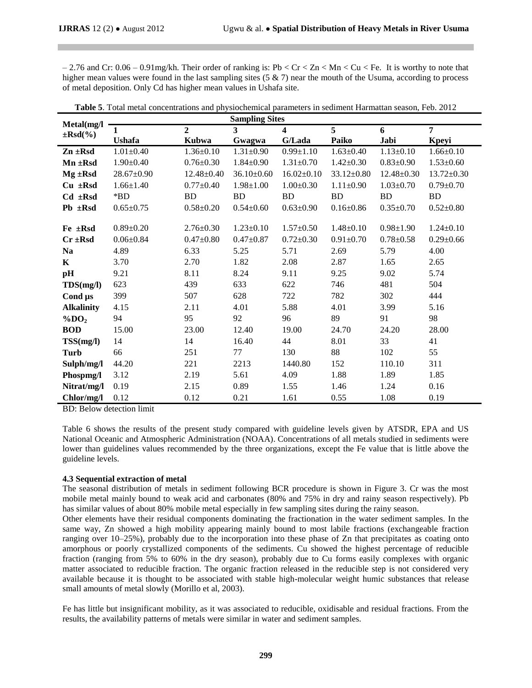$-2.76$  and Cr:  $0.06 - 0.91$  mg/kh. Their order of ranking is: Pb < Cr < Zn < Mn < Cu < Fe. It is worthy to note that higher mean values were found in the last sampling sites  $(5 \& 7)$  near the mouth of the Usuma, according to process of metal deposition. Only Cd has higher mean values in Ushafa site.

| Metal(mg/l           | <b>Sampling Sites</b> |                  |                  |                         |                  |                  |                  |  |  |
|----------------------|-----------------------|------------------|------------------|-------------------------|------------------|------------------|------------------|--|--|
| $\pm$ Rsd $(\%$      | 1                     | $\overline{2}$   | 3                | $\overline{\mathbf{4}}$ | 5                | 6                | 7                |  |  |
|                      | <b>Ushafa</b>         | <b>Kubwa</b>     | Gwagwa           | G/Lada                  | Paiko            | Jabi             | Kpeyi            |  |  |
| $Zn \pm Rsd$         | $1.01 \pm 0.40$       | $1.36 \pm 0.10$  | $1.31 \pm 0.90$  | $0.99 \pm 1.10$         | $1.63 \pm 0.40$  | $1.13 \pm 0.10$  | $1.66 \pm 0.10$  |  |  |
| $Mn \pm Rsd$         | $1.90 \pm 0.40$       | $0.76 \pm 0.30$  | $1.84 \pm 0.90$  | $1.31 \pm 0.70$         | $1.42 \pm 0.30$  | $0.83 \pm 0.90$  | $1.53 \pm 0.60$  |  |  |
| $Mg \pm Rsd$         | $28.67 \pm 0.90$      | $12.48 \pm 0.40$ | $36.10 \pm 0.60$ | $16.02 \pm 0.10$        | $33.12 \pm 0.80$ | $12.48 \pm 0.30$ | $13.72 \pm 0.30$ |  |  |
| $Cu$ $\pm$ Rsd       | $1.66 \pm 1.40$       | $0.77 \pm 0.40$  | $1.98 \pm 1.00$  | $1.00 \pm 0.30$         | $1.11 \pm 0.90$  | $1.03 \pm 0.70$  | $0.79 \pm 0.70$  |  |  |
| $Cd$ $\pm$ Rsd       | $*$ BD                | <b>BD</b>        | <b>BD</b>        | <b>BD</b>               | <b>BD</b>        | <b>BD</b>        | <b>BD</b>        |  |  |
| $Pb \pm Rsd$         | $0.65 \pm 0.75$       | $0.58 \pm 0.20$  | $0.54 \pm 0.60$  | $0.63 \pm 0.90$         | $0.16 \pm 0.86$  | $0.35 \pm 0.70$  | $0.52 \pm 0.80$  |  |  |
|                      |                       |                  |                  |                         |                  |                  |                  |  |  |
| $Fe \pm Rsd$         | $0.89 \pm 0.20$       | $2.76 \pm 0.30$  | $1.23 \pm 0.10$  | $1.57 \pm 0.50$         | $1.48 \pm 0.10$  | $0.98 \pm 1.90$  | $1.24 \pm 0.10$  |  |  |
| $Cr \pm Rsd$         | $0.06 \pm 0.84$       | $0.47 + 0.80$    | $0.47 \pm 0.87$  | $0.72 \pm 0.30$         | $0.91 \pm 0.70$  | $0.78 \pm 0.58$  | $0.29 \pm 0.66$  |  |  |
| <b>Na</b>            | 4.89                  | 6.33             | 5.25             | 5.71                    | 2.69             | 5.79             | 4.00             |  |  |
| K                    | 3.70                  | 2.70             | 1.82             | 2.08                    | 2.87             | 1.65             | 2.65             |  |  |
| pH                   | 9.21                  | 8.11             | 8.24             | 9.11                    | 9.25             | 9.02             | 5.74             |  |  |
| TDS(mg/l)            | 623                   | 439              | 633              | 622                     | 746              | 481              | 504              |  |  |
| Cond µs              | 399                   | 507              | 628              | 722                     | 782              | 302              | 444              |  |  |
| <b>Alkalinity</b>    | 4.15                  | 2.11             | 4.01             | 5.88                    | 4.01             | 3.99             | 5.16             |  |  |
| $\%$ DO <sub>2</sub> | 94                    | 95               | 92               | 96                      | 89               | 91               | 98               |  |  |
| <b>BOD</b>           | 15.00                 | 23.00            | 12.40            | 19.00                   | 24.70            | 24.20            | 28.00            |  |  |
| TSS(mg/l)            | 14                    | 14               | 16.40            | 44                      | 8.01             | 33               | 41               |  |  |
| Turb                 | 66                    | 251              | 77               | 130                     | 88               | 102              | 55               |  |  |
| Sulph/mg/l           | 44.20                 | 221              | 2213             | 1440.80                 | 152              | 110.10           | 311              |  |  |
| Phospmg/l            | 3.12                  | 2.19             | 5.61             | 4.09                    | 1.88             | 1.89             | 1.85             |  |  |
| Nitrat/mg/l          | 0.19                  | 2.15             | 0.89             | 1.55                    | 1.46             | 1.24             | 0.16             |  |  |
| Chlor/mg/l           | 0.12                  | 0.12             | 0.21             | 1.61                    | 0.55             | 1.08             | 0.19             |  |  |

| Table 5. Total metal concentrations and physiochemical parameters in sediment Harmattan season, Feb. 2012 |  |
|-----------------------------------------------------------------------------------------------------------|--|
|-----------------------------------------------------------------------------------------------------------|--|

BD: Below detection limit

Table 6 shows the results of the present study compared with guideline levels given by ATSDR, EPA and US National Oceanic and Atmospheric Administration (NOAA). Concentrations of all metals studied in sediments were lower than guidelines values recommended by the three organizations, except the Fe value that is little above the guideline levels.

#### **4.3 Sequential extraction of metal**

The seasonal distribution of metals in sediment following BCR procedure is shown in Figure 3. Cr was the most mobile metal mainly bound to weak acid and carbonates (80% and 75% in dry and rainy season respectively). Pb has similar values of about 80% mobile metal especially in few sampling sites during the rainy season.

Other elements have their residual components dominating the fractionation in the water sediment samples. In the same way, Zn showed a high mobility appearing mainly bound to most labile fractions (exchangeable fraction ranging over 10–25%), probably due to the incorporation into these phase of Zn that precipitates as coating onto amorphous or poorly crystallized components of the sediments. Cu showed the highest percentage of reducible fraction (ranging from 5% to 60% in the dry season), probably due to Cu forms easily complexes with organic matter associated to reducible fraction. The organic fraction released in the reducible step is not considered very available because it is thought to be associated with stable high-molecular weight humic substances that release small amounts of metal slowly (Morillo et al, 2003).

Fe has little but insignificant mobility, as it was associated to reducible, oxidisable and residual fractions. From the results, the availability patterns of metals were similar in water and sediment samples.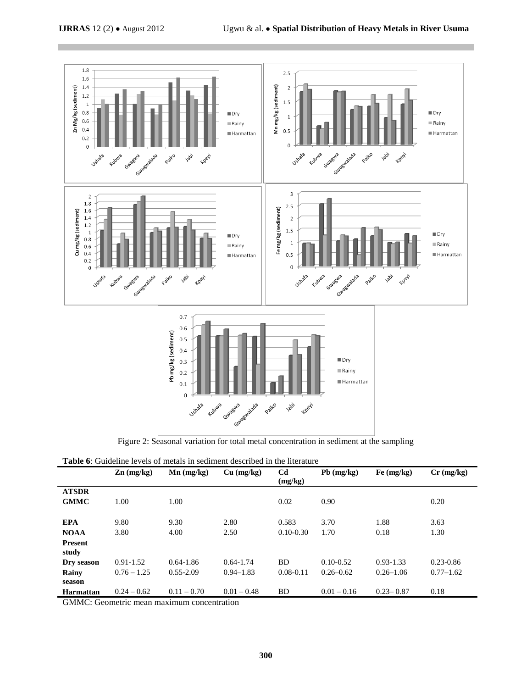

Figure 2: Seasonal variation for total metal concentration in sediment at the sampling

| <b>Table 6:</b> Guideline levels of metals in sediment described in the literature |  |  |  |  |
|------------------------------------------------------------------------------------|--|--|--|--|
|------------------------------------------------------------------------------------|--|--|--|--|

|                  | $\mathbf{Zn}$ (mg/kg) | $Mn$ (mg/kg)  | Cu (mg/kg)    | Cd<br>(mg/kg) | $Pb$ (mg/kg)  | Fe (mg/kg)    | $Cr$ (mg/kg)  |
|------------------|-----------------------|---------------|---------------|---------------|---------------|---------------|---------------|
| <b>ATSDR</b>     |                       |               |               |               |               |               |               |
| <b>GMMC</b>      | 1.00                  | 1.00          |               | 0.02          | 0.90          |               | 0.20          |
|                  |                       |               |               |               |               |               |               |
| <b>EPA</b>       | 9.80                  | 9.30          | 2.80          | 0.583         | 3.70          | 1.88          | 3.63          |
| <b>NOAA</b>      | 3.80                  | 4.00          | 2.50          | $0.10 - 0.30$ | 1.70          | 0.18          | 1.30          |
| <b>Present</b>   |                       |               |               |               |               |               |               |
| study            |                       |               |               |               |               |               |               |
| Dry season       | $0.91 - 1.52$         | $0.64 - 1.86$ | $0.64 - 1.74$ | BD            | $0.10 - 0.52$ | $0.93 - 1.33$ | $0.23 - 0.86$ |
| Rainy            | $0.76 - 1.25$         | $0.55 - 2.09$ | $0.94 - 1.83$ | $0.08 - 0.11$ | $0.26 - 0.62$ | $0.26 - 1.06$ | $0.77 - 1.62$ |
| season           |                       |               |               |               |               |               |               |
| <b>Harmattan</b> | $0.24 - 0.62$         | $0.11 - 0.70$ | $0.01 - 0.48$ | <b>BD</b>     | $0.01 - 0.16$ | $0.23 - 0.87$ | 0.18          |

GMMC: Geometric mean maximum concentration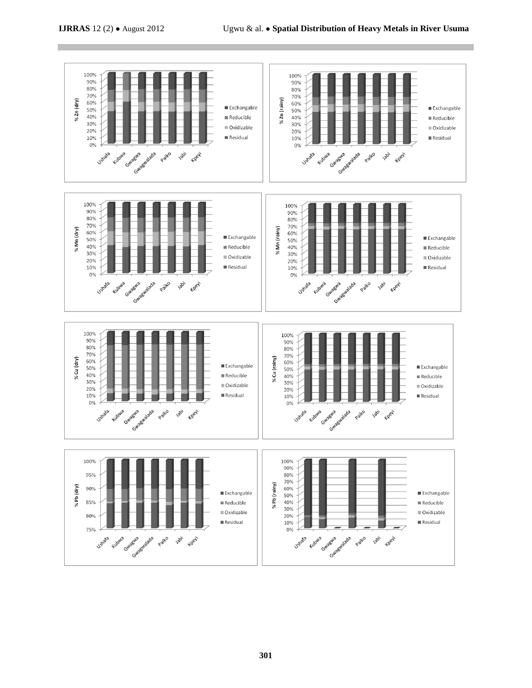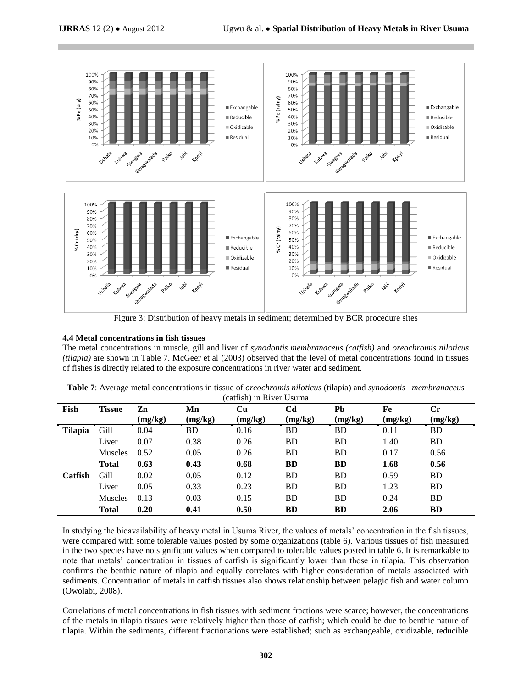

Figure 3: Distribution of heavy metals in sediment; determined by BCR procedure sites

#### **4.4 Metal concentrations in fish tissues**

The metal concentrations in muscle, gill and liver of *synodontis membranaceus (catfish)* and *oreochromis niloticus (tilapia)* are shown in Table 7. McGeer et al (2003) observed that the level of metal concentrations found in tissues of fishes is directly related to the exposure concentrations in river water and sediment.

| Fish           | Tissue         | Zn      | Mn      | <b>Cu</b> | C <sub>d</sub> | Pb        | Fe      | $\mathbf{C}$ r |
|----------------|----------------|---------|---------|-----------|----------------|-----------|---------|----------------|
|                |                | (mg/kg) | (mg/kg) | (mg/kg)   | (mg/kg)        | (mg/kg)   | (mg/kg) | (mg/kg)        |
| <b>Tilapia</b> | Gill           | 0.04    | BD      | 0.16      | BD             | BD        | 0.11    | BD             |
|                | Liver          | 0.07    | 0.38    | 0.26      | <b>BD</b>      | <b>BD</b> | 1.40    | <b>BD</b>      |
|                | <b>Muscles</b> | 0.52    | 0.05    | 0.26      | <b>BD</b>      | BD        | 0.17    | 0.56           |
|                | <b>Total</b>   | 0.63    | 0.43    | 0.68      | <b>BD</b>      | <b>BD</b> | 1.68    | 0.56           |
| Catfish        | Gill           | 0.02    | 0.05    | 0.12      | <b>BD</b>      | <b>BD</b> | 0.59    | <b>BD</b>      |
|                | Liver          | 0.05    | 0.33    | 0.23      | <b>BD</b>      | <b>BD</b> | 1.23    | <b>BD</b>      |
|                | <b>Muscles</b> | 0.13    | 0.03    | 0.15      | <b>BD</b>      | BD        | 0.24    | <b>BD</b>      |
|                | <b>Total</b>   | 0.20    | 0.41    | 0.50      | <b>BD</b>      | <b>BD</b> | 2.06    | <b>BD</b>      |

**Table 7**: Average metal concentrations in tissue of *oreochromis niloticus* (tilapia) and *synodontis membranaceus* (catfish) in River Usuma

In studying the bioavailability of heavy metal in Usuma River, the values of metals' concentration in the fish tissues, were compared with some tolerable values posted by some organizations (table 6). Various tissues of fish measured in the two species have no significant values when compared to tolerable values posted in table 6. It is remarkable to note that metals' concentration in tissues of catfish is significantly lower than those in tilapia. This observation confirms the benthic nature of tilapia and equally correlates with higher consideration of metals associated with sediments. Concentration of metals in catfish tissues also shows relationship between pelagic fish and water column (Owolabi, 2008).

Correlations of metal concentrations in fish tissues with sediment fractions were scarce; however, the concentrations of the metals in tilapia tissues were relatively higher than those of catfish; which could be due to benthic nature of tilapia. Within the sediments, different fractionations were established; such as exchangeable, oxidizable, reducible